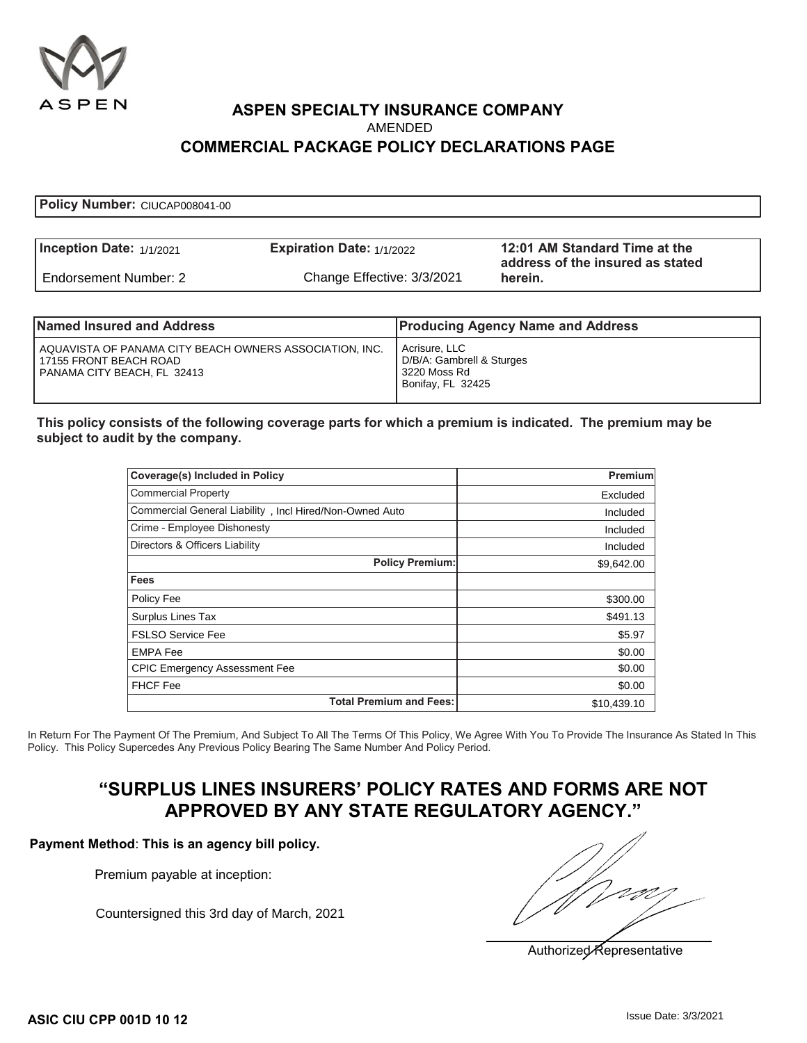

# **ASPEN SPECIALTY INSURANCE COMPANY COMMERCIAL PACKAGE POLICY DECLARATIONS PAGE**

| Inception Date: $1/1/2021$ | Expiration Date: $1/1/2022$ | 12:01 AM Standard Time at the<br>address of the insured as stated |
|----------------------------|-----------------------------|-------------------------------------------------------------------|
| Endorsement Number: 2      | Change Effective: 3/3/2021  | herein.                                                           |

| Named Insured and Address                                                                                            | <b>Producing Agency Name and Address</b>                                        |
|----------------------------------------------------------------------------------------------------------------------|---------------------------------------------------------------------------------|
| I AQUAVISTA OF PANAMA CITY BEACH OWNERS ASSOCIATION. INC.<br>l 17155 FRONT BEACH ROAD<br>PANAMA CITY BEACH, FL 32413 | Acrisure, LLC<br>D/B/A: Gambrell & Sturges<br>3220 Moss Rd<br>Bonifay, FL 32425 |

#### **This policy consists of the following coverage parts for which a premium is indicated. The premium may be subject to audit by the company.**

|                                                                                                                                                                                                                                                                                                            | <b>AMENDED</b><br><b>COMMERCIAL PACKAGE POLICY DECLARATIONS PAGE</b> |                                                                                 |                                                     |
|------------------------------------------------------------------------------------------------------------------------------------------------------------------------------------------------------------------------------------------------------------------------------------------------------------|----------------------------------------------------------------------|---------------------------------------------------------------------------------|-----------------------------------------------------|
|                                                                                                                                                                                                                                                                                                            |                                                                      |                                                                                 |                                                     |
| Policy Number: CIUCAP008041-00                                                                                                                                                                                                                                                                             |                                                                      |                                                                                 |                                                     |
|                                                                                                                                                                                                                                                                                                            |                                                                      |                                                                                 |                                                     |
| nception Date: $1/1/2021$                                                                                                                                                                                                                                                                                  | Expiration Date: 1/1/2022                                            |                                                                                 | 12:01 AM Standard Time<br>address of the insured as |
| Endorsement Number: 2                                                                                                                                                                                                                                                                                      | Change Effective: 3/3/2021                                           |                                                                                 | herein.                                             |
|                                                                                                                                                                                                                                                                                                            |                                                                      |                                                                                 |                                                     |
| lamed Insured and Address                                                                                                                                                                                                                                                                                  |                                                                      |                                                                                 | <b>Producing Agency Name and Address</b>            |
| AQUAVISTA OF PANAMA CITY BEACH OWNERS ASSOCIATION, INC.<br>17155 FRONT BEACH ROAD<br>PANAMA CITY BEACH, FL 32413                                                                                                                                                                                           |                                                                      | Acrisure, LLC<br>D/B/A: Gambrell & Sturges<br>3220 Moss Rd<br>Bonifay, FL 32425 |                                                     |
| his policy consists of the following coverage parts for which a premium is indicated. The premiur'<br>ubject to audit by the company.                                                                                                                                                                      |                                                                      |                                                                                 |                                                     |
| Coverage(s) Included in Policy                                                                                                                                                                                                                                                                             |                                                                      |                                                                                 | <b>Premium</b>                                      |
| <b>Commercial Property</b>                                                                                                                                                                                                                                                                                 |                                                                      |                                                                                 | Excluded                                            |
| Commercial General Liability, Incl Hired/Non-Owned Auto                                                                                                                                                                                                                                                    |                                                                      |                                                                                 | Included                                            |
| Crime - Employee Dishonesty                                                                                                                                                                                                                                                                                |                                                                      |                                                                                 | Included                                            |
| Directors & Officers Liability                                                                                                                                                                                                                                                                             |                                                                      |                                                                                 | Included                                            |
|                                                                                                                                                                                                                                                                                                            |                                                                      | <b>Policy Premium:</b>                                                          | \$9,642.00                                          |
| Fees                                                                                                                                                                                                                                                                                                       |                                                                      |                                                                                 |                                                     |
| Policy Fee                                                                                                                                                                                                                                                                                                 |                                                                      |                                                                                 | \$300.00                                            |
| Surplus Lines Tax                                                                                                                                                                                                                                                                                          |                                                                      |                                                                                 | \$491.13                                            |
| <b>FSLSO Service Fee</b>                                                                                                                                                                                                                                                                                   |                                                                      |                                                                                 | \$5.97                                              |
| <b>EMPA Fee</b>                                                                                                                                                                                                                                                                                            |                                                                      |                                                                                 | \$0.00                                              |
| <b>CPIC Emergency Assessment Fee</b>                                                                                                                                                                                                                                                                       |                                                                      |                                                                                 | \$0.00                                              |
| <b>FHCF Fee</b>                                                                                                                                                                                                                                                                                            |                                                                      |                                                                                 | \$0.00                                              |
|                                                                                                                                                                                                                                                                                                            | <b>Total Premium and Fees:</b>                                       |                                                                                 | \$10,439.10                                         |
| Return For The Payment Of The Premium, And Subject To All The Terms Of This Policy, We Agree With You To Provide The Insura<br>icy. This Policy Supercedes Any Previous Policy Bearing The Same Number And Policy Period.<br>yment Method: This is an agency bill policy.<br>Premium payable at inception: | APPROVED BY ANY STATE REGULATORY AGENCY."                            |                                                                                 | "SURPLUS LINES INSURERS' POLICY RATES AND FORMS ARI |
| Countersigned this 3rd day of March, 2021                                                                                                                                                                                                                                                                  |                                                                      |                                                                                 |                                                     |

In Return For The Payment Of The Premium, And Subject To All The Terms Of This Policy, We Agree With You To Provide The Insurance As Stated In This Policy. This Policy Supercedes Any Previous Policy Bearing The Same Number And Policy Period.

## **"SURPLUS LINES INSURERS' POLICY RATES AND FORMS ARE NOT APPROVED BY ANY STATE REGULATORY AGENCY."**

#### **Payment Method**: **This is an agency bill policy.**

Authorized Representative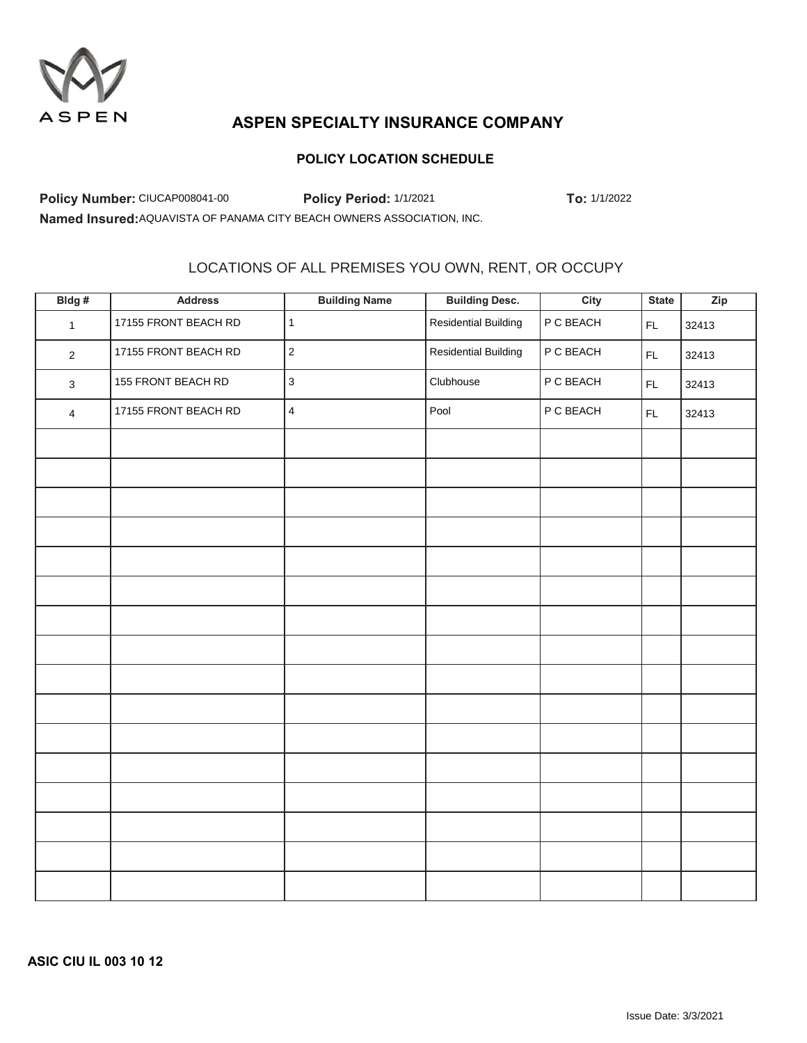

### **POLICY LOCATION SCHEDULE**

**Policy Number:** CIUCAP008041-00 **Policy Period:** 1/1/2021 **To:** 1/1/2022

## LOCATIONS OF ALL PREMISES YOU OWN, RENT, OR OCCUPY

|                                                                        | Policy Number: CIUCAP008041-00 | Policy Period: 1/1/2021                            |                             | To: 1/1/2022 |               |       |
|------------------------------------------------------------------------|--------------------------------|----------------------------------------------------|-----------------------------|--------------|---------------|-------|
| Named Insured: AQUAVISTA OF PANAMA CITY BEACH OWNERS ASSOCIATION, INC. |                                |                                                    |                             |              |               |       |
|                                                                        |                                |                                                    |                             |              |               |       |
|                                                                        |                                |                                                    |                             |              |               |       |
|                                                                        |                                | LOCATIONS OF ALL PREMISES YOU OWN, RENT, OR OCCUPY |                             |              |               |       |
| Bldg#                                                                  | <b>Address</b>                 | <b>Building Name</b>                               | <b>Building Desc.</b>       | City         | <b>State</b>  | Zip   |
| $\mathbf{1}$                                                           | 17155 FRONT BEACH RD           | $\mathbf{1}$                                       | <b>Residential Building</b> | P C BEACH    | $\mathsf{FL}$ | 32413 |
| $\overline{2}$                                                         | 17155 FRONT BEACH RD           | $\sqrt{2}$                                         | <b>Residential Building</b> | P C BEACH    | $\mathsf{FL}$ | 32413 |
| $\mathbf{3}$                                                           | 155 FRONT BEACH RD             | $\mathbf{3}$                                       | Clubhouse                   | P C BEACH    | FL            | 32413 |
| 4                                                                      | 17155 FRONT BEACH RD           | $\overline{\mathbf{4}}$                            | Pool                        | P C BEACH    | FL.           | 32413 |
|                                                                        |                                |                                                    |                             |              |               |       |
|                                                                        |                                |                                                    |                             |              |               |       |
|                                                                        |                                |                                                    |                             |              |               |       |
|                                                                        |                                |                                                    |                             |              |               |       |
|                                                                        |                                |                                                    |                             |              |               |       |
|                                                                        |                                |                                                    |                             |              |               |       |
|                                                                        |                                |                                                    |                             |              |               |       |
|                                                                        |                                |                                                    |                             |              |               |       |
|                                                                        |                                |                                                    |                             |              |               |       |
|                                                                        |                                |                                                    |                             |              |               |       |
|                                                                        |                                |                                                    |                             |              |               |       |
|                                                                        |                                |                                                    |                             |              |               |       |
|                                                                        |                                |                                                    |                             |              |               |       |
|                                                                        |                                |                                                    |                             |              |               |       |
|                                                                        |                                |                                                    |                             |              |               |       |
|                                                                        |                                |                                                    |                             |              |               |       |

**ASIC CIU IL 003 10 12**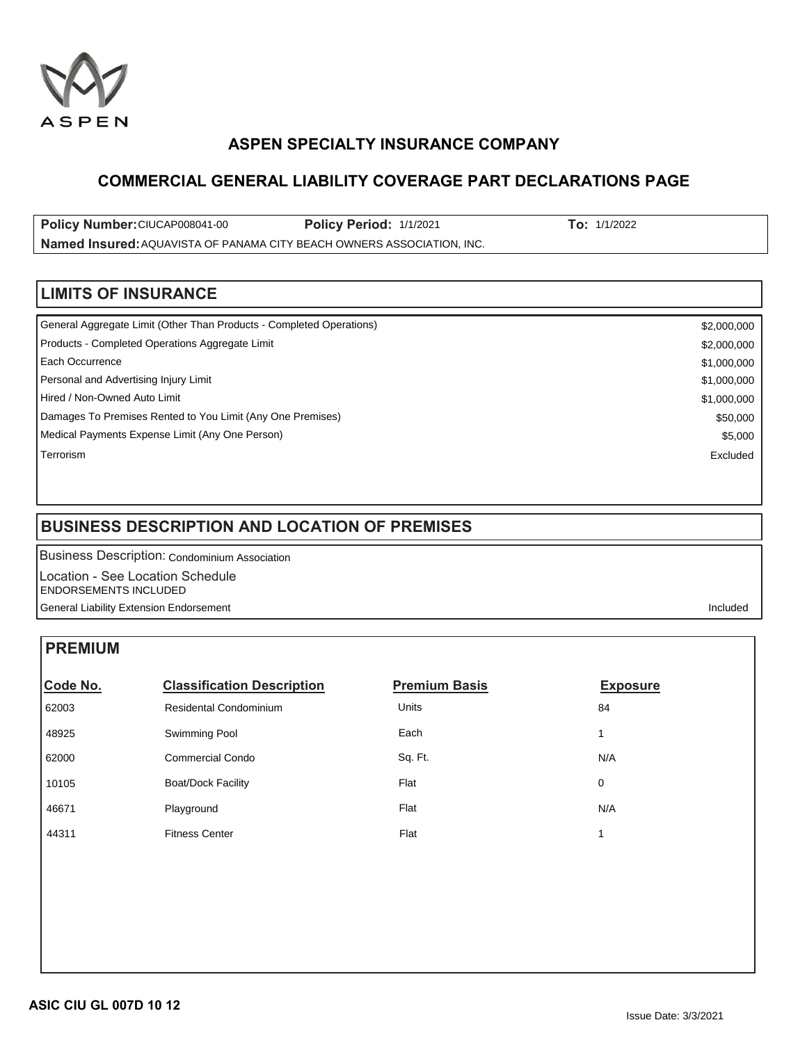

## **COMMERCIAL GENERAL LIABILITY COVERAGE PART DECLARATIONS PAGE**

**Policy Number: CIUCAP008041-00 Policy Period:** 1/1/2021 **To:** 1/1/2022 Named Insured: AQUAVISTA OF PANAMA CITY BEACH OWNERS ASSOCIATION, INC.

## **LIMITS OF INSURANCE**

| General Aggregate Limit (Other Than Products - Completed Operations) | \$2,000,000 |
|----------------------------------------------------------------------|-------------|
| Products - Completed Operations Aggregate Limit                      | \$2,000,000 |
| l Each Occurrence                                                    | \$1,000,000 |
| Personal and Advertising Injury Limit                                | \$1,000,000 |
| Hired / Non-Owned Auto Limit                                         | \$1,000,000 |
| Damages To Premises Rented to You Limit (Any One Premises)           | \$50,000    |
| Medical Payments Expense Limit (Any One Person)                      | \$5,000     |
| Terrorism                                                            | Excluded    |
|                                                                      |             |

## **BUSINESS DESCRIPTION AND LOCATION OF PREMISES**

## **PREMIUM**

| Policy Number: CIUCAP008041-00<br>Named Insured: AQUAVISTA OF PANAMA CITY BEACH OWNERS ASSOCIATION, INC. | To: 1/1/2022                                                         |                      |                 |             |  |
|----------------------------------------------------------------------------------------------------------|----------------------------------------------------------------------|----------------------|-----------------|-------------|--|
| <b>LIMITS OF INSURANCE</b>                                                                               |                                                                      |                      |                 |             |  |
|                                                                                                          | General Aggregate Limit (Other Than Products - Completed Operations) |                      |                 | \$2,000,000 |  |
|                                                                                                          | Products - Completed Operations Aggregate Limit                      |                      |                 | \$2,000,000 |  |
| Each Occurrence                                                                                          |                                                                      |                      | \$1,000,000     |             |  |
| Personal and Advertising Injury Limit                                                                    |                                                                      |                      |                 | \$1,000,000 |  |
| Hired / Non-Owned Auto Limit                                                                             |                                                                      |                      |                 | \$1,000,000 |  |
|                                                                                                          | Damages To Premises Rented to You Limit (Any One Premises)           |                      |                 | \$50,000    |  |
|                                                                                                          | Medical Payments Expense Limit (Any One Person)                      |                      |                 | \$5,000     |  |
| Terrorism                                                                                                |                                                                      |                      |                 | Excluded    |  |
|                                                                                                          | <b>BUSINESS DESCRIPTION AND LOCATION OF PREMISES</b>                 |                      |                 |             |  |
|                                                                                                          | <b>Business Description: Condominium Association</b>                 |                      |                 |             |  |
|                                                                                                          | Location - See Location Schedule                                     |                      |                 |             |  |
| <b>ENDORSEMENTS INCLUDED</b>                                                                             | <b>General Liability Extension Endorsement</b>                       |                      |                 | Included    |  |
|                                                                                                          |                                                                      |                      |                 |             |  |
| <b>PREMIUM</b>                                                                                           |                                                                      |                      |                 |             |  |
| Code No.                                                                                                 | <b>Classification Description</b>                                    | <b>Premium Basis</b> | <b>Exposure</b> |             |  |
| 62003                                                                                                    | <b>Residental Condominium</b>                                        | Units                | 84              |             |  |
| 48925                                                                                                    | Swimming Pool                                                        | Each                 | 1               |             |  |
| 62000                                                                                                    | <b>Commercial Condo</b>                                              | Sq. Ft.              | N/A             |             |  |
| 10105                                                                                                    | <b>Boat/Dock Facility</b>                                            | Flat                 | 0               |             |  |
| 46671                                                                                                    | Playground                                                           | Flat                 | N/A             |             |  |
| 44311                                                                                                    | <b>Fitness Center</b>                                                | Flat                 | 1               |             |  |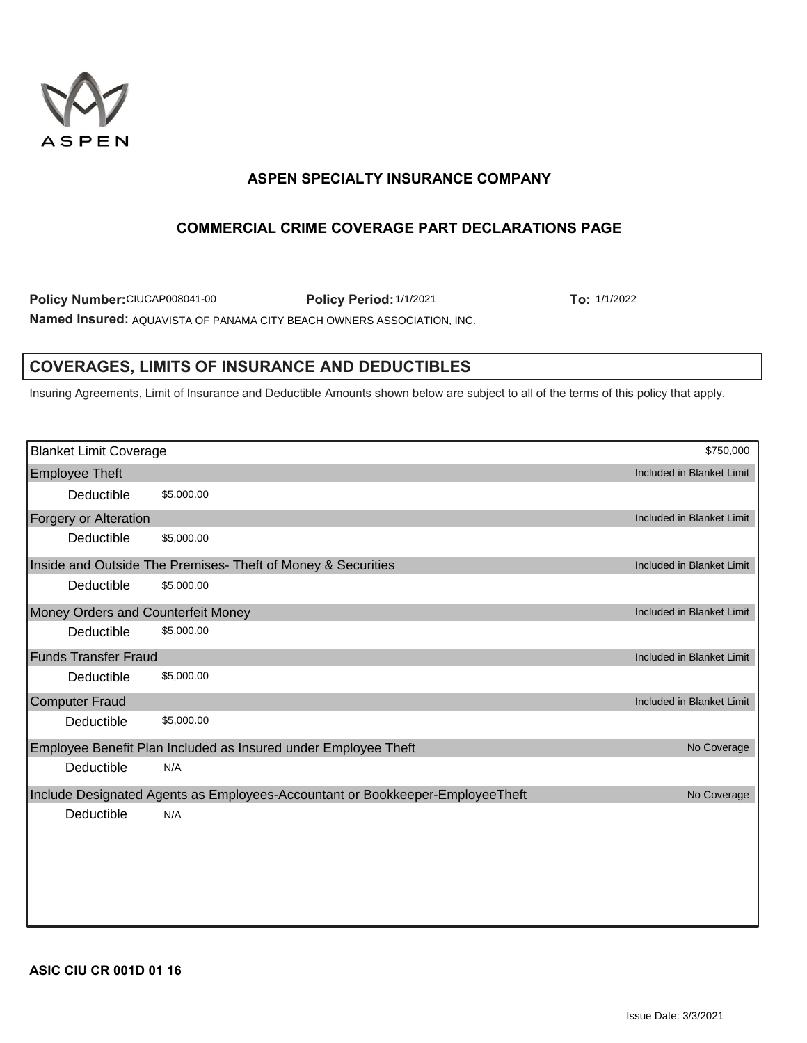

## **COMMERCIAL CRIME COVERAGE PART DECLARATIONS PAGE**

**Policy Number: CIUCAP008041-00 Policy Period: 1/1/2021 To: 1/1/2022** Named Insured: AQUAVISTA OF PANAMA CITY BEACH OWNERS ASSOCIATION, INC.

## **COVERAGES, LIMITS OF INSURANCE AND DEDUCTIBLES**

| Policy Number: CIUCAP008041-00                                         |            | Policy Period: 1/1/2021                                                                                                               | To: 1/1/2022              |
|------------------------------------------------------------------------|------------|---------------------------------------------------------------------------------------------------------------------------------------|---------------------------|
| Named Insured: AQUAVISTA OF PANAMA CITY BEACH OWNERS ASSOCIATION, INC. |            |                                                                                                                                       |                           |
|                                                                        |            |                                                                                                                                       |                           |
|                                                                        |            | <b>COVERAGES, LIMITS OF INSURANCE AND DEDUCTIBLES</b>                                                                                 |                           |
|                                                                        |            |                                                                                                                                       |                           |
|                                                                        |            | Insuring Agreements, Limit of Insurance and Deductible Amounts shown below are subject to all of the terms of this policy that apply. |                           |
|                                                                        |            |                                                                                                                                       |                           |
|                                                                        |            |                                                                                                                                       |                           |
| <b>Blanket Limit Coverage</b>                                          |            |                                                                                                                                       | \$750,000                 |
| <b>Employee Theft</b>                                                  |            |                                                                                                                                       | Included in Blanket Limit |
| Deductible                                                             | \$5,000.00 |                                                                                                                                       |                           |
| Forgery or Alteration                                                  |            |                                                                                                                                       | Included in Blanket Limit |
| Deductible                                                             | \$5,000.00 |                                                                                                                                       |                           |
|                                                                        |            | Inside and Outside The Premises- Theft of Money & Securities                                                                          | Included in Blanket Limit |
| Deductible                                                             | \$5,000.00 |                                                                                                                                       |                           |
| Money Orders and Counterfeit Money                                     |            |                                                                                                                                       | Included in Blanket Limit |
| Deductible                                                             | \$5,000.00 |                                                                                                                                       |                           |
| <b>Funds Transfer Fraud</b>                                            |            |                                                                                                                                       | Included in Blanket Limit |
| Deductible                                                             | \$5,000.00 |                                                                                                                                       |                           |
| <b>Computer Fraud</b>                                                  |            |                                                                                                                                       | Included in Blanket Limit |
| Deductible                                                             | \$5,000.00 |                                                                                                                                       |                           |
|                                                                        |            | Employee Benefit Plan Included as Insured under Employee Theft                                                                        | No Coverage               |
| Deductible                                                             | N/A        |                                                                                                                                       |                           |
|                                                                        |            | Include Designated Agents as Employees-Accountant or Bookkeeper-EmployeeTheft                                                         | No Coverage               |
| Deductible                                                             | N/A        |                                                                                                                                       |                           |
|                                                                        |            |                                                                                                                                       |                           |
|                                                                        |            |                                                                                                                                       |                           |
|                                                                        |            |                                                                                                                                       |                           |
|                                                                        |            |                                                                                                                                       |                           |
|                                                                        |            |                                                                                                                                       |                           |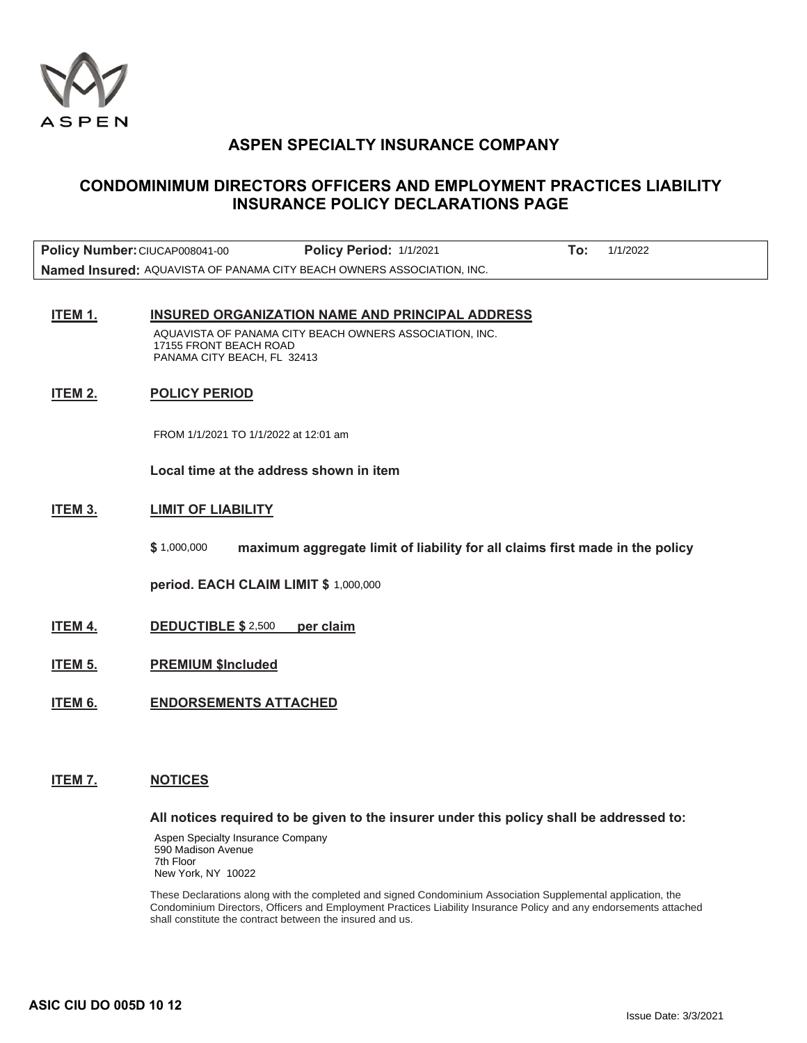

## **CONDOMINIMUM DIRECTORS OFFICERS AND EMPLOYMENT PRACTICES LIABILITY INSURANCE POLICY DECLARATIONS PAGE**

| Policy Number: CIUCAP008041-00                                         | Policy Period: 1/1/2021 | 1/1/2022 |
|------------------------------------------------------------------------|-------------------------|----------|
| Named Insured: AQUAVISTA OF PANAMA CITY BEACH OWNERS ASSOCIATION, INC. |                         |          |

#### **ITEM 1. INSURED ORGANIZATION NAME AND PRINCIPAL ADDRESS**

AQUAVISTA OF PANAMA CITY BEACH OWNERS ASSOCIATION, INC. 17155 FRONT BEACH ROAD PANAMA CITY BEACH, FL 32413

#### **ITEM 2. POLICY PERIOD**

**Local time at the address shown in item** 

#### **ITEM 3. LIMIT OF LIABILITY**

\$ 1,000,000 maximum aggregate limit of liability for all claims first made in the policy FROM 1/1/2021 TO 1/1/2022 at 12:01 am<br>Local time at the address shown in ite<br>LIMIT OF LIABILITY<br>\$ 1,000,000 1,000,000 maximum aggregate lin<br>period. EACH CLAIM LIMIT \$ 1,000,000<br>DEDUCTIBLE \$ 2,500 per claim

**period. EACH CLAIM LIMIT \$** 

- **ITEM 4. DEDUCTIBLE \$ 2,500 per claim**
- **ITEM 5. PREMIUM \$Included**
- **ITEM 6. ENDORSEMENTS ATTACHED**

#### **ITEM 7. NOTICES**

#### **All notices required to be given to the insurer under this policy shall be addressed to:**

Aspen Specialty Insurance Company 590 Madison Avenue 7th Floor New York, NY 10022

These Declarations along with the completed and signed Condominium Association Supplemental application, the Condominium Directors, Officers and Employment Practices Liability Insurance Policy and any endorsements attached shall constitute the contract between the insured and us.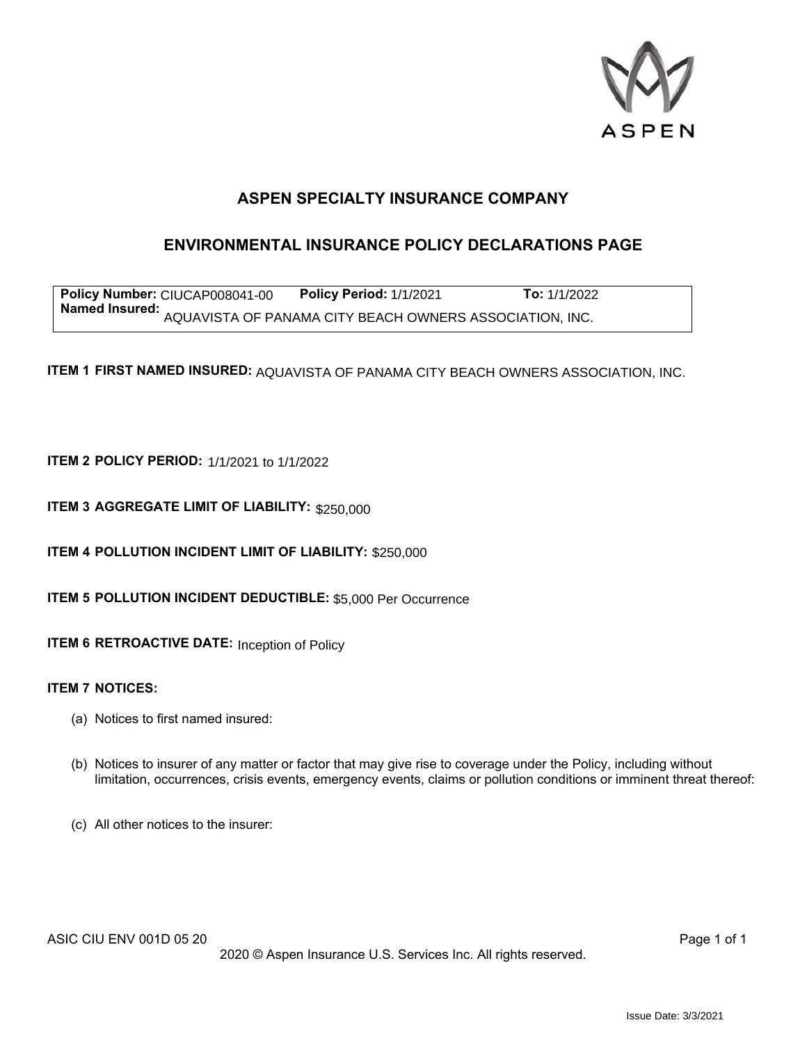

## **ENVIRONMENTAL INSURANCE POLICY DECLARATIONS PAGE**

**Policy Number: CIUCAP008041-00 Policy Period: 1/1/2021 To: 1/1/2022** Named Insured: AQUAVISTA OF PANAMA CITY BEACH OWNERS ASSOCIATION, INC. CIUCAP008041-00 Policy Period: 1/1/2021 To: 1/1/2022<br>AQUAVISTA OF PANAMA CITY BEACH OWNERS ASSOCIATION, INC.<br>MED INSURED: AQUAVISTA OF PANAMA CITY BEACH OWNERS ASSOCIATION, INC.<br>ERIOD: 1/1/2021 to 1/1/2022<br>TE LIMIT OF LIAB

ITEM 1 FIRST NAMED INSURED: AQUAVISTA OF PANAMA CITY BEACH OWNERS ASSOCIATION, INC.

**ITEM 2 POLICY PERIOD:** 1/1/2021 to 1/1/2022

**ITEM 3 AGGREGATE LIMIT OF LIABILITY: \$250,000** 

**ITEM 4 POLLUTION INCIDENT LIMIT OF LIABILITY: \$250,000** 

**ITEM 5 POLLUTION INCIDENT DEDUCTIBLE: \$5,000 Per Occurrence** 

**ITEM 6 RETROACTIVE DATE:** Inception of Policy

#### **ITEM 7 NOTICES:**

- (a) Notices to first named insured:
- (b) Notices to insurer of any matter or factor that may give rise to coverage under the Policy, including without limitation, occurrences, crisis events, emergency events, claims or pollution conditions or imminent threat thereof:
- (c) All other notices to the insurer: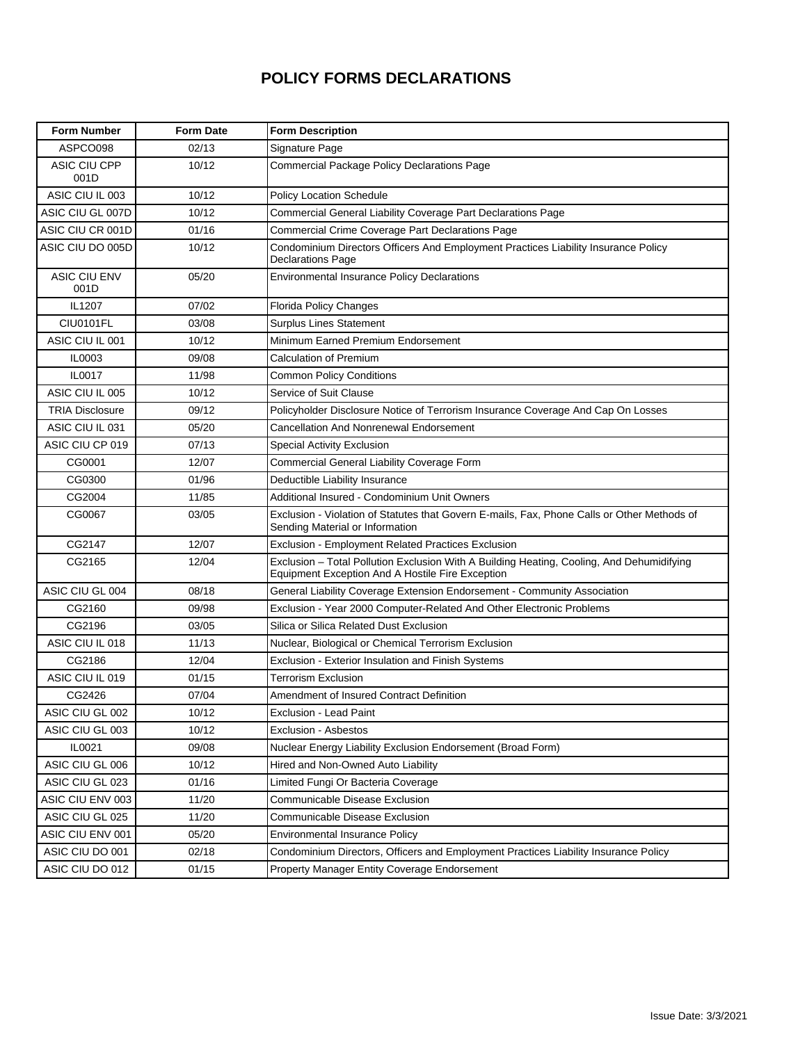## **POLICY FORMS DECLARATIONS**

| <b>Form Number</b>     | <b>Form Date</b> | <b>Form Description</b>                                                                                                                       |
|------------------------|------------------|-----------------------------------------------------------------------------------------------------------------------------------------------|
| ASPCO098               | 02/13            | Signature Page                                                                                                                                |
| ASIC CIU CPP<br>001D   | 10/12            | <b>Commercial Package Policy Declarations Page</b>                                                                                            |
| ASIC CIU IL 003        | 10/12            | <b>Policy Location Schedule</b>                                                                                                               |
| ASIC CIU GL 007D       | 10/12            | Commercial General Liability Coverage Part Declarations Page                                                                                  |
| ASIC CIU CR 001D       | 01/16            | Commercial Crime Coverage Part Declarations Page                                                                                              |
| ASIC CIU DO 005D       | 10/12            | Condominium Directors Officers And Employment Practices Liability Insurance Policy<br><b>Declarations Page</b>                                |
| ASIC CIU ENV<br>001D   | 05/20            | <b>Environmental Insurance Policy Declarations</b>                                                                                            |
| IL1207                 | 07/02            | Florida Policy Changes                                                                                                                        |
| <b>CIU0101FL</b>       | 03/08            | <b>Surplus Lines Statement</b>                                                                                                                |
| ASIC CIU IL 001        | 10/12            | Minimum Earned Premium Endorsement                                                                                                            |
| IL0003                 | 09/08            | <b>Calculation of Premium</b>                                                                                                                 |
| IL0017                 | 11/98            | <b>Common Policy Conditions</b>                                                                                                               |
| ASIC CIU IL 005        | 10/12            | Service of Suit Clause                                                                                                                        |
| <b>TRIA Disclosure</b> | 09/12            | Policyholder Disclosure Notice of Terrorism Insurance Coverage And Cap On Losses                                                              |
| ASIC CIU IL 031        | 05/20            | <b>Cancellation And Nonrenewal Endorsement</b>                                                                                                |
| ASIC CIU CP 019        | 07/13            | Special Activity Exclusion                                                                                                                    |
| CG0001                 | 12/07            | Commercial General Liability Coverage Form                                                                                                    |
| CG0300                 | 01/96            | Deductible Liability Insurance                                                                                                                |
| CG2004                 | 11/85            | Additional Insured - Condominium Unit Owners                                                                                                  |
| CG0067                 | 03/05            | Exclusion - Violation of Statutes that Govern E-mails, Fax, Phone Calls or Other Methods of<br>Sending Material or Information                |
| CG2147                 | 12/07            | Exclusion - Employment Related Practices Exclusion                                                                                            |
| CG2165                 | 12/04            | Exclusion - Total Pollution Exclusion With A Building Heating, Cooling, And Dehumidifying<br>Equipment Exception And A Hostile Fire Exception |
| ASIC CIU GL 004        | 08/18            | General Liability Coverage Extension Endorsement - Community Association                                                                      |
| CG2160                 | 09/98            | Exclusion - Year 2000 Computer-Related And Other Electronic Problems                                                                          |
| CG2196                 | 03/05            | Silica or Silica Related Dust Exclusion                                                                                                       |
| ASIC CIU IL 018        | 11/13            | Nuclear, Biological or Chemical Terrorism Exclusion                                                                                           |
| CG2186                 | 12/04            | Exclusion - Exterior Insulation and Finish Systems                                                                                            |
| ASIC CIU IL 019        | 01/15            | <b>Terrorism Exclusion</b>                                                                                                                    |
| CG2426                 | 07/04            | Amendment of Insured Contract Definition                                                                                                      |
| ASIC CIU GL 002        | 10/12            | Exclusion - Lead Paint                                                                                                                        |
| ASIC CIU GL 003        | 10/12            | Exclusion - Asbestos                                                                                                                          |
| IL0021                 | 09/08            | Nuclear Energy Liability Exclusion Endorsement (Broad Form)                                                                                   |
| ASIC CIU GL 006        | 10/12            | Hired and Non-Owned Auto Liability                                                                                                            |
| ASIC CIU GL 023        | 01/16            | Limited Fungi Or Bacteria Coverage                                                                                                            |
| ASIC CIU ENV 003       | 11/20            | Communicable Disease Exclusion                                                                                                                |
| ASIC CIU GL 025        | 11/20            | Communicable Disease Exclusion                                                                                                                |
| ASIC CIU ENV 001       | 05/20            | <b>Environmental Insurance Policy</b>                                                                                                         |
| ASIC CIU DO 001        | 02/18            | Condominium Directors, Officers and Employment Practices Liability Insurance Policy                                                           |
| ASIC CIU DO 012        | 01/15            | Property Manager Entity Coverage Endorsement                                                                                                  |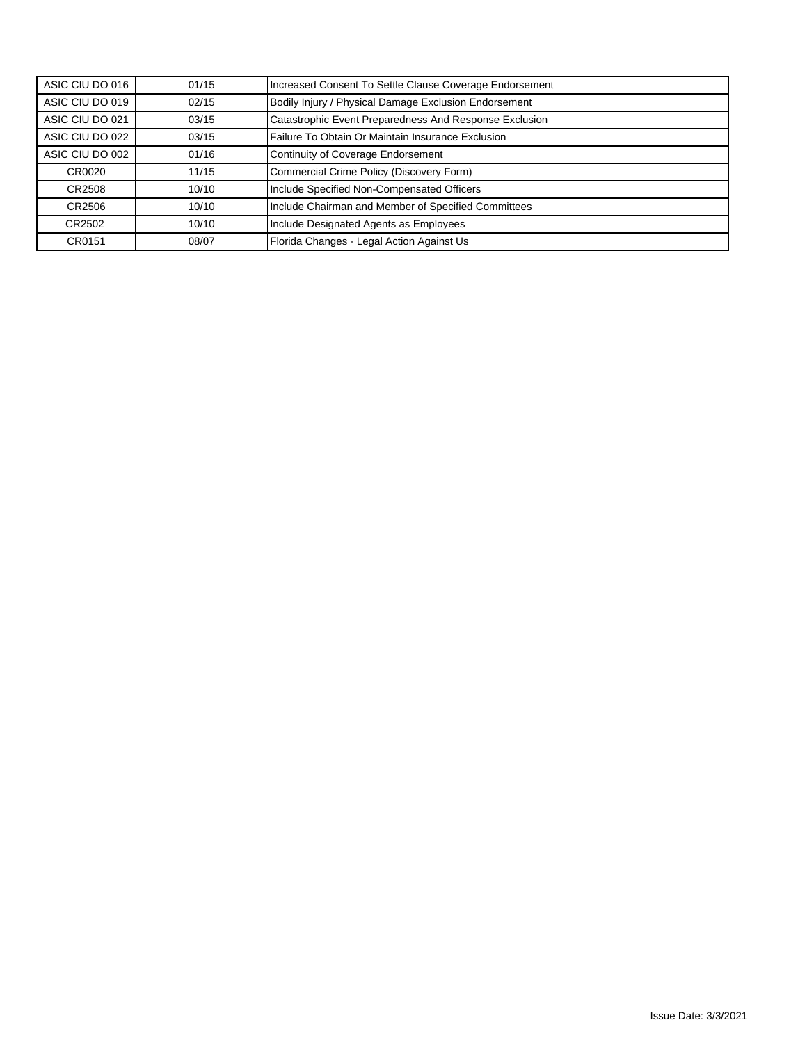| ASIC CIU DO 016 | 01/15 | Increased Consent To Settle Clause Coverage Endorsement |
|-----------------|-------|---------------------------------------------------------|
| ASIC CIU DO 019 | 02/15 | Bodily Injury / Physical Damage Exclusion Endorsement   |
| ASIC CIU DO 021 | 03/15 | Catastrophic Event Preparedness And Response Exclusion  |
| ASIC CIU DO 022 | 03/15 | Failure To Obtain Or Maintain Insurance Exclusion       |
| ASIC CIU DO 002 | 01/16 | Continuity of Coverage Endorsement                      |
| CR0020          | 11/15 | Commercial Crime Policy (Discovery Form)                |
| CR2508          | 10/10 | Include Specified Non-Compensated Officers              |
| CR2506          | 10/10 | Include Chairman and Member of Specified Committees     |
| CR2502          | 10/10 | Include Designated Agents as Employees                  |
| CR0151          | 08/07 | Florida Changes - Legal Action Against Us               |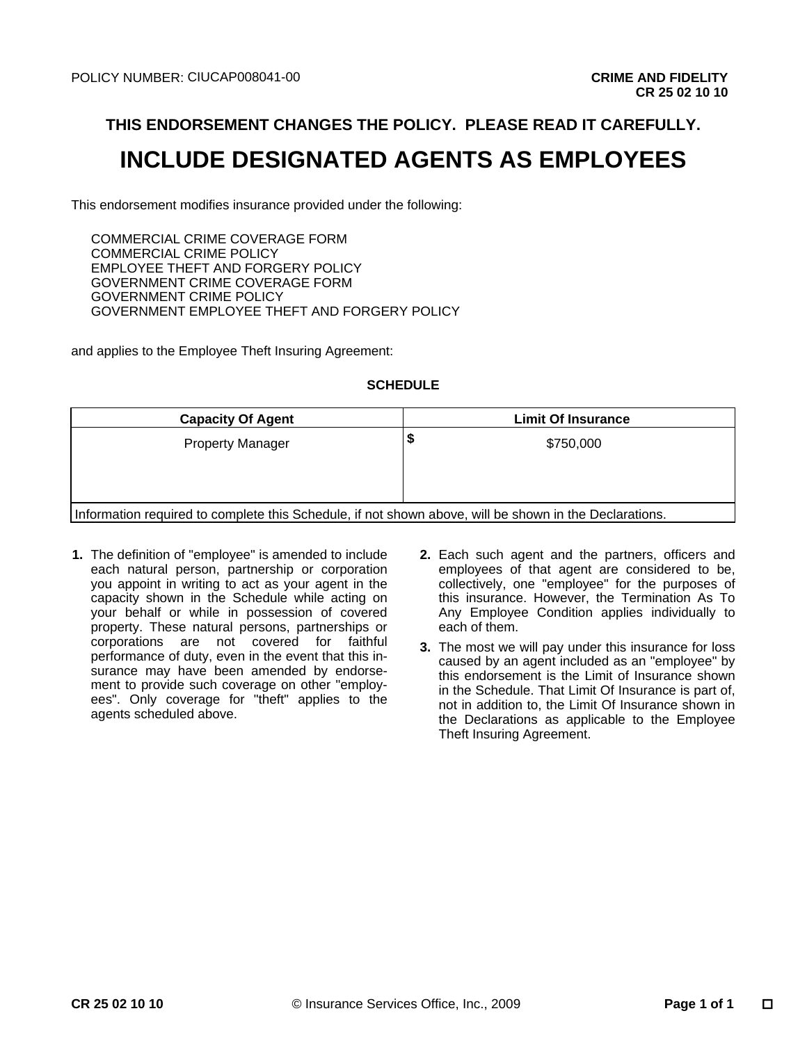## **THIS ENDORSEMENT CHANGES THE POLICY. PLEASE READ IT CAREFULLY.**

# **INCLUDE DESIGNATED AGENTS AS EMPLOYEES**

This endorsement modifies insurance provided under the following:

COMMERCIAL CRIME COVERAGE FORM COMMERCIAL CRIME POLICY EMPLOYEE THEFT AND FORGERY POLICY GOVERNMENT CRIME COVERAGE FORM GOVERNMENT CRIME POLICY GOVERNMENT EMPLOYEE THEFT AND FORGERY POLICY CIUCAP008041-00<br>
DRSEMENT CHANGES THE POLICY. PLEASE READ IT (<br>
JDE DESIGNATED AGENTS AS EMPL<br>
modifies insurance provided under the following:<br>
CRIME COVERAGE FORM<br>
CRIME POLICY<br>
CRIME POLICY<br>
CRIME POLICY<br>
CRIME POLICY<br>

and applies to the Employee Theft Insuring Agreement:

#### **SCHEDULE**

| <b>Capacity Of Agent</b>                                                                               | <b>Limit Of Insurance</b> |  |
|--------------------------------------------------------------------------------------------------------|---------------------------|--|
| <b>Property Manager</b>                                                                                | Φ<br>\$750,000            |  |
|                                                                                                        |                           |  |
| Information required to complete this Schedule, if not shown above, will be shown in the Declarations. |                           |  |

- **1.** The definition of "employee" is amended to include each natural person, partnership or corporation you appoint in writing to act as your agent in the capacity shown in the Schedule while acting on your behalf or while in possession of covered property. These natural persons, partnerships or corporations are not covered for faithful performance of duty, even in the event that this insurance may have been amended by endorsement to provide such coverage on other "employees". Only coverage for "theft" applies to the agents scheduled above.
- **2.** Each such agent and the partners, officers and employees of that agent are considered to be, collectively, one "employee" for the purposes of this insurance. However, the Termination As To Any Employee Condition applies individually to each of them.
- **3.** The most we will pay under this insurance for loss caused by an agent included as an "employee" by this endorsement is the Limit of Insurance shown in the Schedule. That Limit Of Insurance is part of, not in addition to, the Limit Of Insurance shown in the Declarations as applicable to the Employee Theft Insuring Agreement.